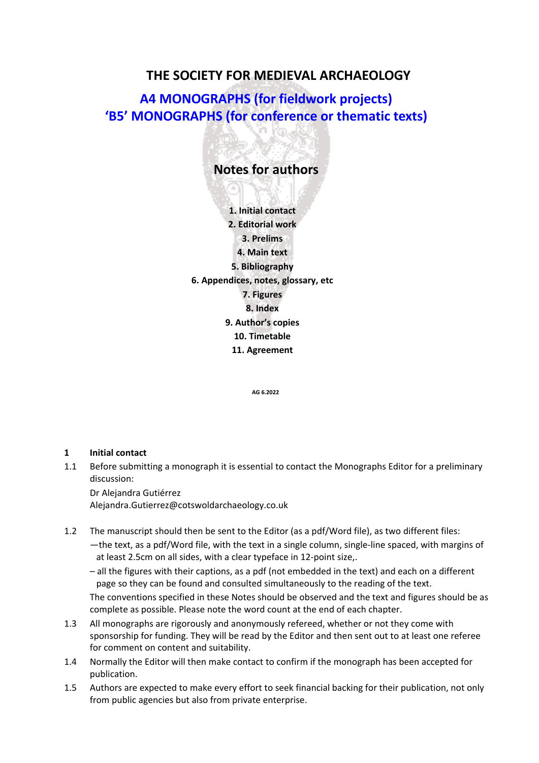# **THE SOCIETY FOR MEDIEVAL ARCHAEOLOGY**

**A4 MONOGRAPHS (for fieldwork projects) 'B5' MONOGRAPHS (for conference or thematic texts)**

# **Notes for authors**

**1. Initial contact 2. Editorial work 3. Prelims 4. Main text 5. Bibliography 6. Appendices, notes, glossary, etc 7. Figures 8. Index 9. Author's copies 10. Timetable 11. Agreement** 

**AG 6.2022** 

## **1 Initial contact**

1.1 Before submitting a monograph it is essential to contact the Monographs Editor for a preliminary discussion:

 Dr Alejandra Gutiérrez Alejandra.Gutierrez@cotswoldarchaeology.co.uk

- 1.2 The manuscript should then be sent to the Editor (as a pdf/Word file), as two different files:
	- —the text, as a pdf/Word file, with the text in a single column, single‐line spaced, with margins of at least 2.5cm on all sides, with a clear typeface in 12‐point size,.
	- all the figures with their captions, as a pdf (not embedded in the text) and each on a different page so they can be found and consulted simultaneously to the reading of the text.

The conventions specified in these Notes should be observed and the text and figures should be as complete as possible. Please note the word count at the end of each chapter.

- 1.3 All monographs are rigorously and anonymously refereed, whether or not they come with sponsorship for funding. They will be read by the Editor and then sent out to at least one referee for comment on content and suitability.
- 1.4 Normally the Editor will then make contact to confirm if the monograph has been accepted for publication.
- 1.5 Authors are expected to make every effort to seek financial backing for their publication, not only from public agencies but also from private enterprise.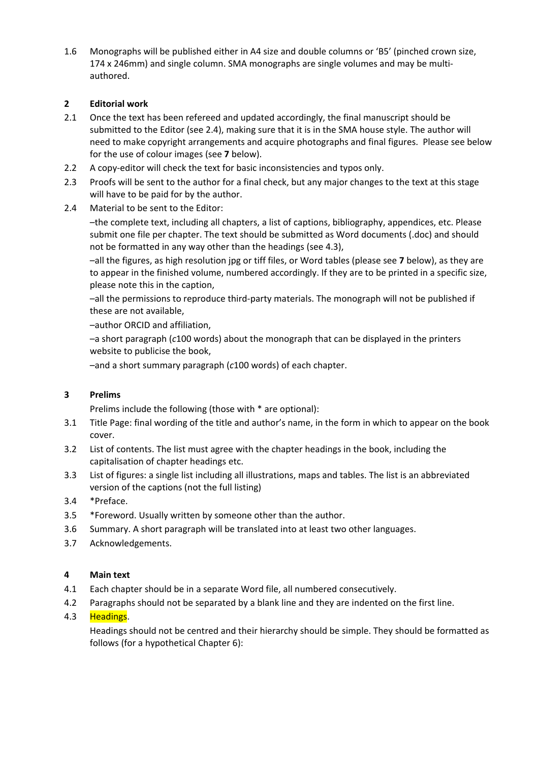1.6 Monographs will be published either in A4 size and double columns or 'B5' (pinched crown size, 174 x 246mm) and single column. SMA monographs are single volumes and may be multi‐ authored.

# **2 Editorial work**

- 2.1 Once the text has been refereed and updated accordingly, the final manuscript should be submitted to the Editor (see 2.4), making sure that it is in the SMA house style. The author will need to make copyright arrangements and acquire photographs and final figures. Please see below for the use of colour images (see **7** below).
- 2.2 A copy-editor will check the text for basic inconsistencies and typos only.
- 2.3 Proofs will be sent to the author for a final check, but any major changes to the text at this stage will have to be paid for by the author.
- 2.4 Material to be sent to the Editor:

 –the complete text, including all chapters, a list of captions, bibliography, appendices, etc. Please submit one file per chapter. The text should be submitted as Word documents (.doc) and should not be formatted in any way other than the headings (see 4.3),

 –all the figures, as high resolution jpg or tiff files, or Word tables (please see **7** below), as they are to appear in the finished volume, numbered accordingly. If they are to be printed in a specific size, please note this in the caption,

 –all the permissions to reproduce third‐party materials. The monograph will not be published if these are not available,

–author ORCID and affiliation,

 –a short paragraph (*c*100 words) about the monograph that can be displayed in the printers website to publicise the book,

–and a short summary paragraph (*c*100 words) of each chapter.

# **3 Prelims**

Prelims include the following (those with \* are optional):

- 3.1 Title Page: final wording of the title and author's name, in the form in which to appear on the book cover.
- 3.2 List of contents. The list must agree with the chapter headings in the book, including the capitalisation of chapter headings etc.
- 3.3 List of figures: a single list including all illustrations, maps and tables. The list is an abbreviated version of the captions (not the full listing)
- 3.4 \*Preface.
- 3.5 \*Foreword. Usually written by someone other than the author.
- 3.6 Summary. A short paragraph will be translated into at least two other languages.
- 3.7 Acknowledgements.

# **4 Main text**

- 4.1 Each chapter should be in a separate Word file, all numbered consecutively.
- 4.2 Paragraphs should not be separated by a blank line and they are indented on the first line.

# 4.3 **Headings**.

 Headings should not be centred and their hierarchy should be simple. They should be formatted as follows (for a hypothetical Chapter 6):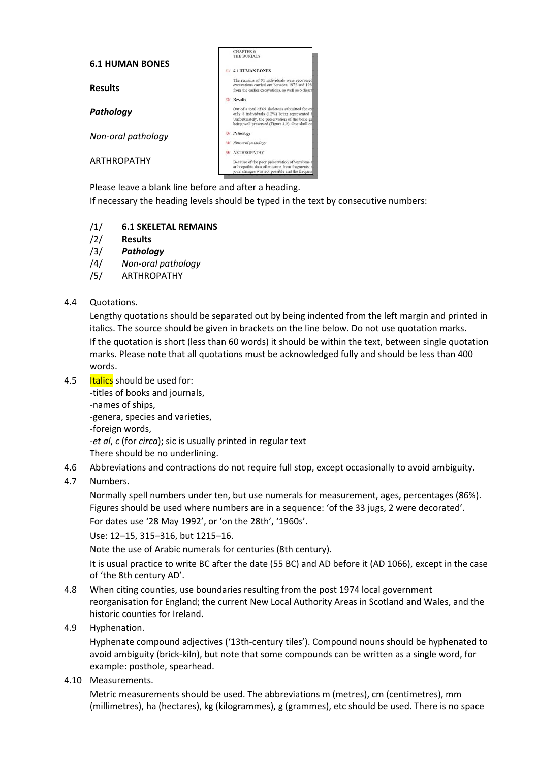

Please leave a blank line before and after a heading.

If necessary the heading levels should be typed in the text by consecutive numbers:

# /1/ **6.1 SKELETAL REMAINS**

- /2/ **Results**
- /3/ *Pathology*
- /4/ *Non‐oral pathology*
- /5/ ARTHROPATHY

# 4.4 Quotations.

 Lengthy quotations should be separated out by being indented from the left margin and printed in italics. The source should be given in brackets on the line below. Do not use quotation marks. If the quotation is short (less than 60 words) it should be within the text, between single quotation marks. Please note that all quotations must be acknowledged fully and should be less than 400 words.

4.5 **Italics** should be used for:

 ‐titles of books and journals, ‐names of ships, ‐genera, species and varieties, ‐foreign words, ‐*et al*, *c* (for *circa*); sic is usually printed in regular text There should be no underlining.

- 4.6 Abbreviations and contractions do not require full stop, except occasionally to avoid ambiguity.
- 4.7 Numbers.

 Normally spell numbers under ten, but use numerals for measurement, ages, percentages (86%). Figures should be used where numbers are in a sequence: 'of the 33 jugs, 2 were decorated'. For dates use '28 May 1992', or 'on the 28th', '1960s'.

Use: 12–15, 315–316, but 1215–16.

Note the use of Arabic numerals for centuries (8th century).

 It is usual practice to write BC after the date (55 BC) and AD before it (AD 1066), except in the case of 'the 8th century AD'.

- 4.8 When citing counties, use boundaries resulting from the post 1974 local government reorganisation for England; the current New Local Authority Areas in Scotland and Wales, and the historic counties for Ireland.
- 4.9 Hyphenation.

Hyphenate compound adjectives ('13th-century tiles'). Compound nouns should be hyphenated to avoid ambiguity (brick‐kiln), but note that some compounds can be written as a single word, for example: posthole, spearhead.

4.10 Measurements.

 Metric measurements should be used. The abbreviations m (metres), cm (centimetres), mm (millimetres), ha (hectares), kg (kilogrammes), g (grammes), etc should be used. There is no space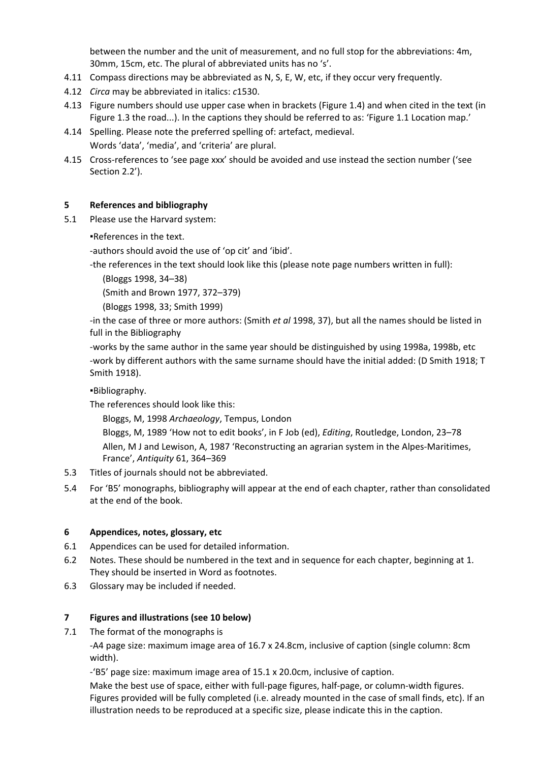between the number and the unit of measurement, and no full stop for the abbreviations: 4m, 30mm, 15cm, etc. The plural of abbreviated units has no 's'.

- 4.11 Compass directions may be abbreviated as N, S, E, W, etc, if they occur very frequently.
- 4.12 *Circa* may be abbreviated in italics: *c*1530.
- 4.13 Figure numbers should use upper case when in brackets (Figure 1.4) and when cited in the text (in Figure 1.3 the road...). In the captions they should be referred to as: 'Figure 1.1 Location map.'
- 4.14 Spelling. Please note the preferred spelling of: artefact, medieval. Words 'data', 'media', and 'criteria' are plural.
- 4.15 Cross‐references to 'see page xxx' should be avoided and use instead the section number ('see Section 2.2').

# **5 References and bibliography**

5.1 Please use the Harvard system:

▪References in the text.

‐authors should avoid the use of 'op cit' and 'ibid'.

‐the references in the text should look like this (please note page numbers written in full):

(Bloggs 1998, 34–38)

(Smith and Brown 1977, 372–379)

(Bloggs 1998, 33; Smith 1999)

 ‐in the case of three or more authors: (Smith *et al* 1998, 37), but all the names should be listed in full in the Bibliography

 ‐works by the same author in the same year should be distinguished by using 1998a, 1998b, etc ‐work by different authors with the same surname should have the initial added: (D Smith 1918; T Smith 1918).

▪Bibliography.

The references should look like this:

Bloggs, M, 1998 *Archaeology*, Tempus, London

 Bloggs, M, 1989 'How not to edit books', in F Job (ed), *Editing*, Routledge, London, 23–78 Allen, M J and Lewison, A, 1987 'Reconstructing an agrarian system in the Alpes-Maritimes, France', *Antiquity* 61, 364–369

- 5.3 Titles of journals should not be abbreviated.
- 5.4 For 'B5' monographs, bibliography will appear at the end of each chapter, rather than consolidated at the end of the book.

## **6 Appendices, notes, glossary, etc**

- 6.1 Appendices can be used for detailed information.
- 6.2 Notes. These should be numbered in the text and in sequence for each chapter, beginning at 1. They should be inserted in Word as footnotes.
- 6.3 Glossary may be included if needed.

## **7 Figures and illustrations (see 10 below)**

7.1 The format of the monographs is

 ‐A4 page size: maximum image area of 16.7 x 24.8cm, inclusive of caption (single column: 8cm width).

‐'B5' page size: maximum image area of 15.1 x 20.0cm, inclusive of caption.

 Make the best use of space, either with full‐page figures, half‐page, or column‐width figures. Figures provided will be fully completed (i.e. already mounted in the case of small finds, etc). If an illustration needs to be reproduced at a specific size, please indicate this in the caption.